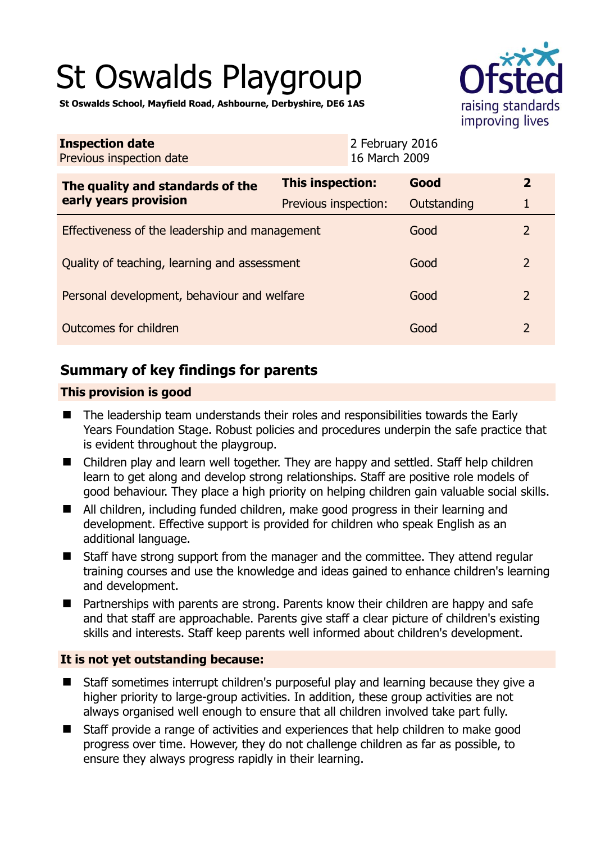# St Oswalds Playgroup



**St Oswalds School, Mayfield Road, Ashbourne, Derbyshire, DE6 1AS** 

| <b>Inspection date</b><br>Previous inspection date        | 2 February 2016<br>16 March 2009 |             |                |
|-----------------------------------------------------------|----------------------------------|-------------|----------------|
| The quality and standards of the<br>early years provision | <b>This inspection:</b>          | Good        | $\mathbf{2}$   |
|                                                           | Previous inspection:             | Outstanding | 1              |
| Effectiveness of the leadership and management            |                                  | Good        | 2              |
| Quality of teaching, learning and assessment              |                                  | Good        | $\overline{2}$ |
| Personal development, behaviour and welfare               |                                  | Good        | $\overline{2}$ |
| Outcomes for children                                     |                                  | Good        | $\overline{2}$ |

# **Summary of key findings for parents**

### **This provision is good**

- The leadership team understands their roles and responsibilities towards the Early Years Foundation Stage. Robust policies and procedures underpin the safe practice that is evident throughout the playgroup.
- Children play and learn well together. They are happy and settled. Staff help children learn to get along and develop strong relationships. Staff are positive role models of good behaviour. They place a high priority on helping children gain valuable social skills.
- All children, including funded children, make good progress in their learning and development. Effective support is provided for children who speak English as an additional language.
- Staff have strong support from the manager and the committee. They attend regular training courses and use the knowledge and ideas gained to enhance children's learning and development.
- Partnerships with parents are strong. Parents know their children are happy and safe and that staff are approachable. Parents give staff a clear picture of children's existing skills and interests. Staff keep parents well informed about children's development.

## **It is not yet outstanding because:**

- Staff sometimes interrupt children's purposeful play and learning because they give a higher priority to large-group activities. In addition, these group activities are not always organised well enough to ensure that all children involved take part fully.
- Staff provide a range of activities and experiences that help children to make good progress over time. However, they do not challenge children as far as possible, to ensure they always progress rapidly in their learning.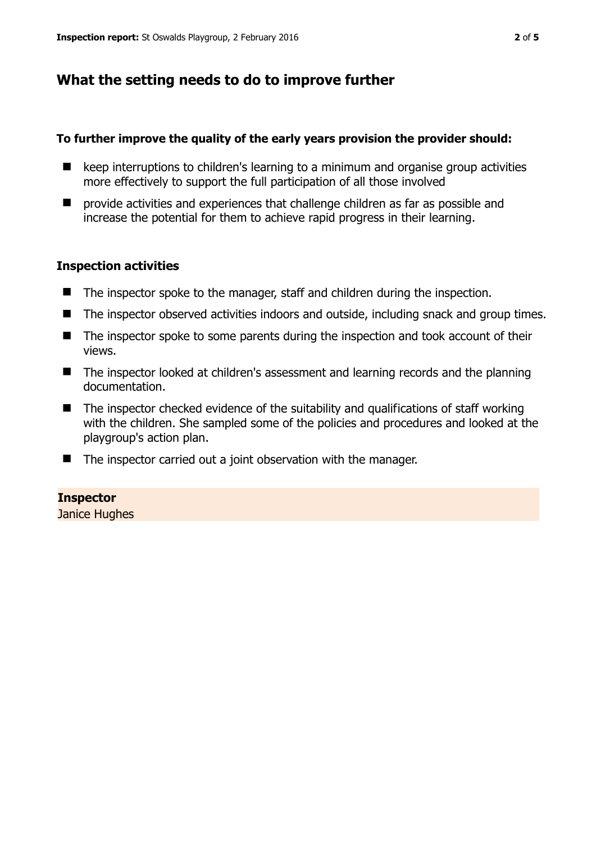## **What the setting needs to do to improve further**

#### **To further improve the quality of the early years provision the provider should:**

- $\blacksquare$  keep interruptions to children's learning to a minimum and organise group activities more effectively to support the full participation of all those involved
- $\blacksquare$  provide activities and experiences that challenge children as far as possible and increase the potential for them to achieve rapid progress in their learning.

#### **Inspection activities**

- The inspector spoke to the manager, staff and children during the inspection.
- The inspector observed activities indoors and outside, including snack and group times.
- The inspector spoke to some parents during the inspection and took account of their views.
- The inspector looked at children's assessment and learning records and the planning documentation.
- $\blacksquare$  The inspector checked evidence of the suitability and qualifications of staff working with the children. She sampled some of the policies and procedures and looked at the playgroup's action plan.
- The inspector carried out a joint observation with the manager.

#### **Inspector**

Janice Hughes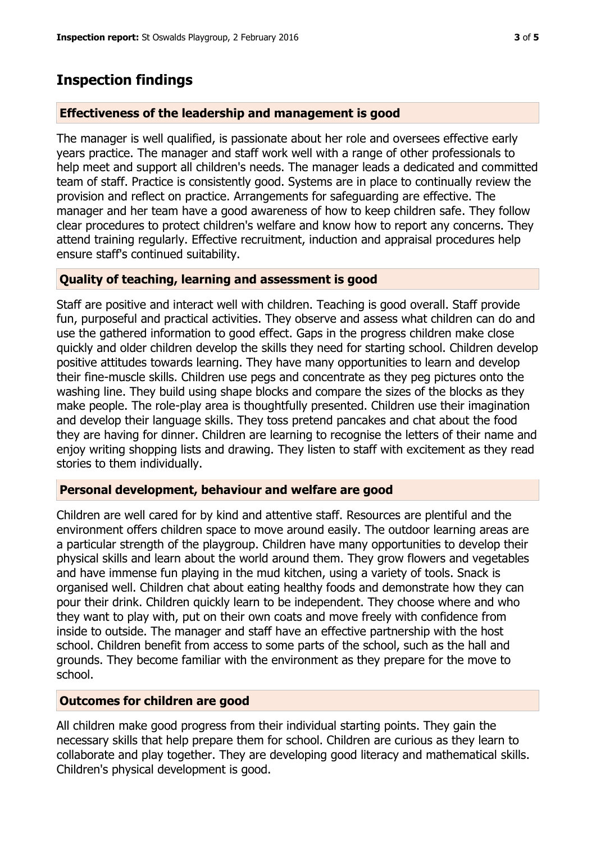# **Inspection findings**

#### **Effectiveness of the leadership and management is good**

The manager is well qualified, is passionate about her role and oversees effective early years practice. The manager and staff work well with a range of other professionals to help meet and support all children's needs. The manager leads a dedicated and committed team of staff. Practice is consistently good. Systems are in place to continually review the provision and reflect on practice. Arrangements for safeguarding are effective. The manager and her team have a good awareness of how to keep children safe. They follow clear procedures to protect children's welfare and know how to report any concerns. They attend training regularly. Effective recruitment, induction and appraisal procedures help ensure staff's continued suitability.

#### **Quality of teaching, learning and assessment is good**

Staff are positive and interact well with children. Teaching is good overall. Staff provide fun, purposeful and practical activities. They observe and assess what children can do and use the gathered information to good effect. Gaps in the progress children make close quickly and older children develop the skills they need for starting school. Children develop positive attitudes towards learning. They have many opportunities to learn and develop their fine-muscle skills. Children use pegs and concentrate as they peg pictures onto the washing line. They build using shape blocks and compare the sizes of the blocks as they make people. The role-play area is thoughtfully presented. Children use their imagination and develop their language skills. They toss pretend pancakes and chat about the food they are having for dinner. Children are learning to recognise the letters of their name and enjoy writing shopping lists and drawing. They listen to staff with excitement as they read stories to them individually.

#### **Personal development, behaviour and welfare are good**

Children are well cared for by kind and attentive staff. Resources are plentiful and the environment offers children space to move around easily. The outdoor learning areas are a particular strength of the playgroup. Children have many opportunities to develop their physical skills and learn about the world around them. They grow flowers and vegetables and have immense fun playing in the mud kitchen, using a variety of tools. Snack is organised well. Children chat about eating healthy foods and demonstrate how they can pour their drink. Children quickly learn to be independent. They choose where and who they want to play with, put on their own coats and move freely with confidence from inside to outside. The manager and staff have an effective partnership with the host school. Children benefit from access to some parts of the school, such as the hall and grounds. They become familiar with the environment as they prepare for the move to school.

## **Outcomes for children are good**

All children make good progress from their individual starting points. They gain the necessary skills that help prepare them for school. Children are curious as they learn to collaborate and play together. They are developing good literacy and mathematical skills. Children's physical development is good.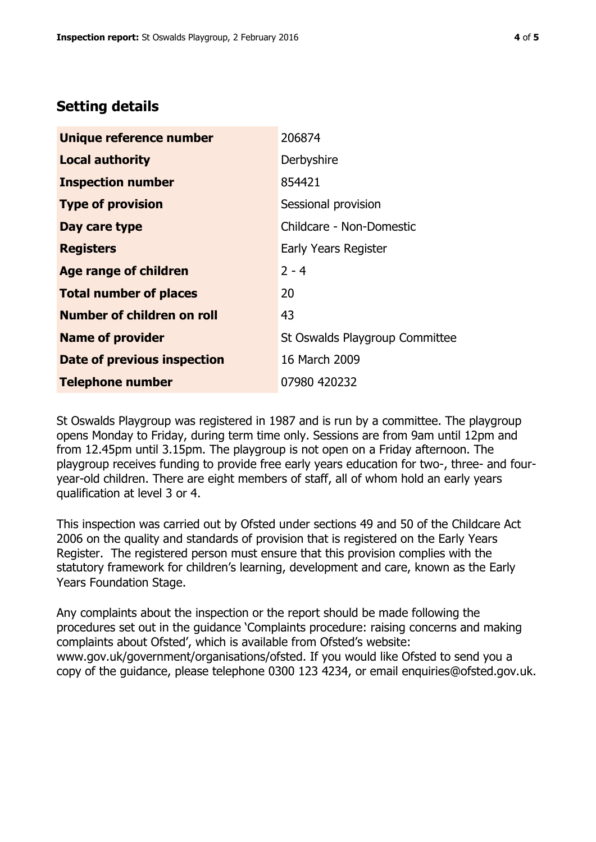## **Setting details**

| Unique reference number       | 206874                         |  |
|-------------------------------|--------------------------------|--|
| <b>Local authority</b>        | Derbyshire                     |  |
| <b>Inspection number</b>      | 854421                         |  |
| <b>Type of provision</b>      | Sessional provision            |  |
| Day care type                 | Childcare - Non-Domestic       |  |
| <b>Registers</b>              | Early Years Register           |  |
| Age range of children         | $2 - 4$                        |  |
| <b>Total number of places</b> | 20                             |  |
| Number of children on roll    | 43                             |  |
| <b>Name of provider</b>       | St Oswalds Playgroup Committee |  |
| Date of previous inspection   | 16 March 2009                  |  |
| <b>Telephone number</b>       | 07980 420232                   |  |

St Oswalds Playgroup was registered in 1987 and is run by a committee. The playgroup opens Monday to Friday, during term time only. Sessions are from 9am until 12pm and from 12.45pm until 3.15pm. The playgroup is not open on a Friday afternoon. The playgroup receives funding to provide free early years education for two-, three- and fouryear-old children. There are eight members of staff, all of whom hold an early years qualification at level 3 or 4.

This inspection was carried out by Ofsted under sections 49 and 50 of the Childcare Act 2006 on the quality and standards of provision that is registered on the Early Years Register. The registered person must ensure that this provision complies with the statutory framework for children's learning, development and care, known as the Early Years Foundation Stage.

Any complaints about the inspection or the report should be made following the procedures set out in the guidance 'Complaints procedure: raising concerns and making complaints about Ofsted', which is available from Ofsted's website: www.gov.uk/government/organisations/ofsted. If you would like Ofsted to send you a copy of the guidance, please telephone 0300 123 4234, or email enquiries@ofsted.gov.uk.